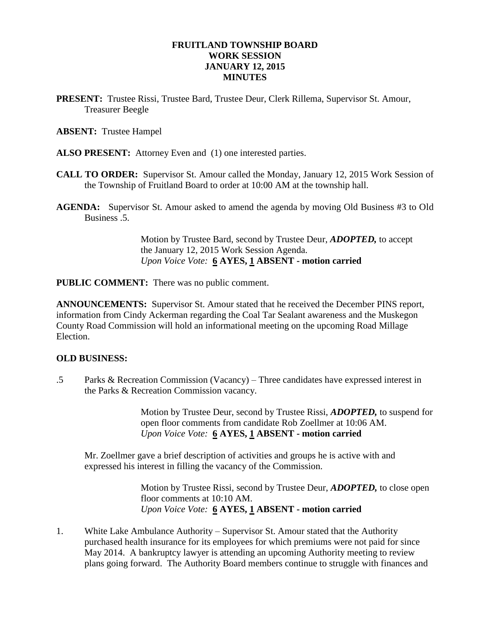## **FRUITLAND TOWNSHIP BOARD WORK SESSION JANUARY 12, 2015 MINUTES**

**PRESENT:** Trustee Rissi, Trustee Bard, Trustee Deur, Clerk Rillema, Supervisor St. Amour, Treasurer Beegle

### **ABSENT:** Trustee Hampel

- **ALSO PRESENT:** Attorney Even and (1) one interested parties.
- **CALL TO ORDER:** Supervisor St. Amour called the Monday, January 12, 2015 Work Session of the Township of Fruitland Board to order at 10:00 AM at the township hall.
- **AGENDA:** Supervisor St. Amour asked to amend the agenda by moving Old Business #3 to Old Business .5.

Motion by Trustee Bard, second by Trustee Deur, *ADOPTED,* to accept the January 12, 2015 Work Session Agenda. *Upon Voice Vote:* **6 AYES, 1 ABSENT - motion carried**

**PUBLIC COMMENT:** There was no public comment.

**ANNOUNCEMENTS:** Supervisor St. Amour stated that he received the December PINS report, information from Cindy Ackerman regarding the Coal Tar Sealant awareness and the Muskegon County Road Commission will hold an informational meeting on the upcoming Road Millage Election.

# **OLD BUSINESS:**

.5 Parks & Recreation Commission (Vacancy) – Three candidates have expressed interest in the Parks & Recreation Commission vacancy.

> Motion by Trustee Deur, second by Trustee Rissi, *ADOPTED,* to suspend for open floor comments from candidate Rob Zoellmer at 10:06 AM. *Upon Voice Vote:* **6 AYES, 1 ABSENT - motion carried**

Mr. Zoellmer gave a brief description of activities and groups he is active with and expressed his interest in filling the vacancy of the Commission.

> Motion by Trustee Rissi, second by Trustee Deur, *ADOPTED,* to close open floor comments at 10:10 AM. *Upon Voice Vote:* **6 AYES, 1 ABSENT - motion carried**

1. White Lake Ambulance Authority – Supervisor St. Amour stated that the Authority purchased health insurance for its employees for which premiums were not paid for since May 2014. A bankruptcy lawyer is attending an upcoming Authority meeting to review plans going forward. The Authority Board members continue to struggle with finances and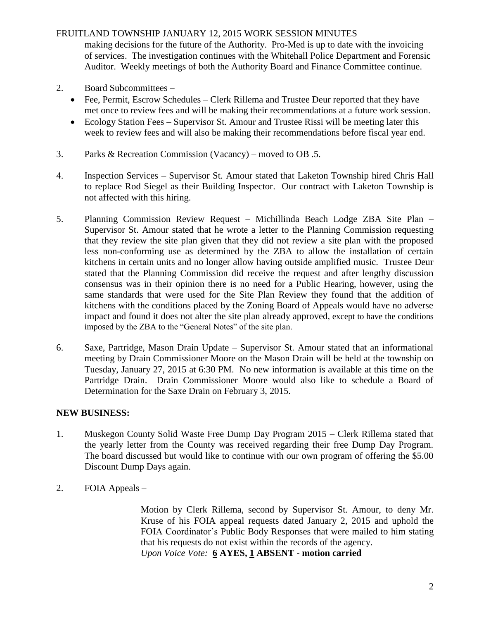# FRUITLAND TOWNSHIP JANUARY 12, 2015 WORK SESSION MINUTES

making decisions for the future of the Authority. Pro-Med is up to date with the invoicing of services. The investigation continues with the Whitehall Police Department and Forensic Auditor. Weekly meetings of both the Authority Board and Finance Committee continue.

- 2. Board Subcommittees
	- Fee, Permit, Escrow Schedules Clerk Rillema and Trustee Deur reported that they have met once to review fees and will be making their recommendations at a future work session.
	- Ecology Station Fees Supervisor St. Amour and Trustee Rissi will be meeting later this week to review fees and will also be making their recommendations before fiscal year end.
- 3. Parks & Recreation Commission (Vacancy) moved to OB .5.
- 4. Inspection Services Supervisor St. Amour stated that Laketon Township hired Chris Hall to replace Rod Siegel as their Building Inspector. Our contract with Laketon Township is not affected with this hiring.
- 5. Planning Commission Review Request Michillinda Beach Lodge ZBA Site Plan Supervisor St. Amour stated that he wrote a letter to the Planning Commission requesting that they review the site plan given that they did not review a site plan with the proposed less non-conforming use as determined by the ZBA to allow the installation of certain kitchens in certain units and no longer allow having outside amplified music. Trustee Deur stated that the Planning Commission did receive the request and after lengthy discussion consensus was in their opinion there is no need for a Public Hearing, however, using the same standards that were used for the Site Plan Review they found that the addition of kitchens with the conditions placed by the Zoning Board of Appeals would have no adverse impact and found it does not alter the site plan already approved, except to have the conditions imposed by the ZBA to the "General Notes" of the site plan.
- 6. Saxe, Partridge, Mason Drain Update Supervisor St. Amour stated that an informational meeting by Drain Commissioner Moore on the Mason Drain will be held at the township on Tuesday, January 27, 2015 at 6:30 PM. No new information is available at this time on the Partridge Drain. Drain Commissioner Moore would also like to schedule a Board of Determination for the Saxe Drain on February 3, 2015.

# **NEW BUSINESS:**

- 1. Muskegon County Solid Waste Free Dump Day Program 2015 Clerk Rillema stated that the yearly letter from the County was received regarding their free Dump Day Program. The board discussed but would like to continue with our own program of offering the \$5.00 Discount Dump Days again.
- 2. FOIA Appeals –

Motion by Clerk Rillema, second by Supervisor St. Amour, to deny Mr. Kruse of his FOIA appeal requests dated January 2, 2015 and uphold the FOIA Coordinator's Public Body Responses that were mailed to him stating that his requests do not exist within the records of the agency. *Upon Voice Vote:* **6 AYES, 1 ABSENT - motion carried**